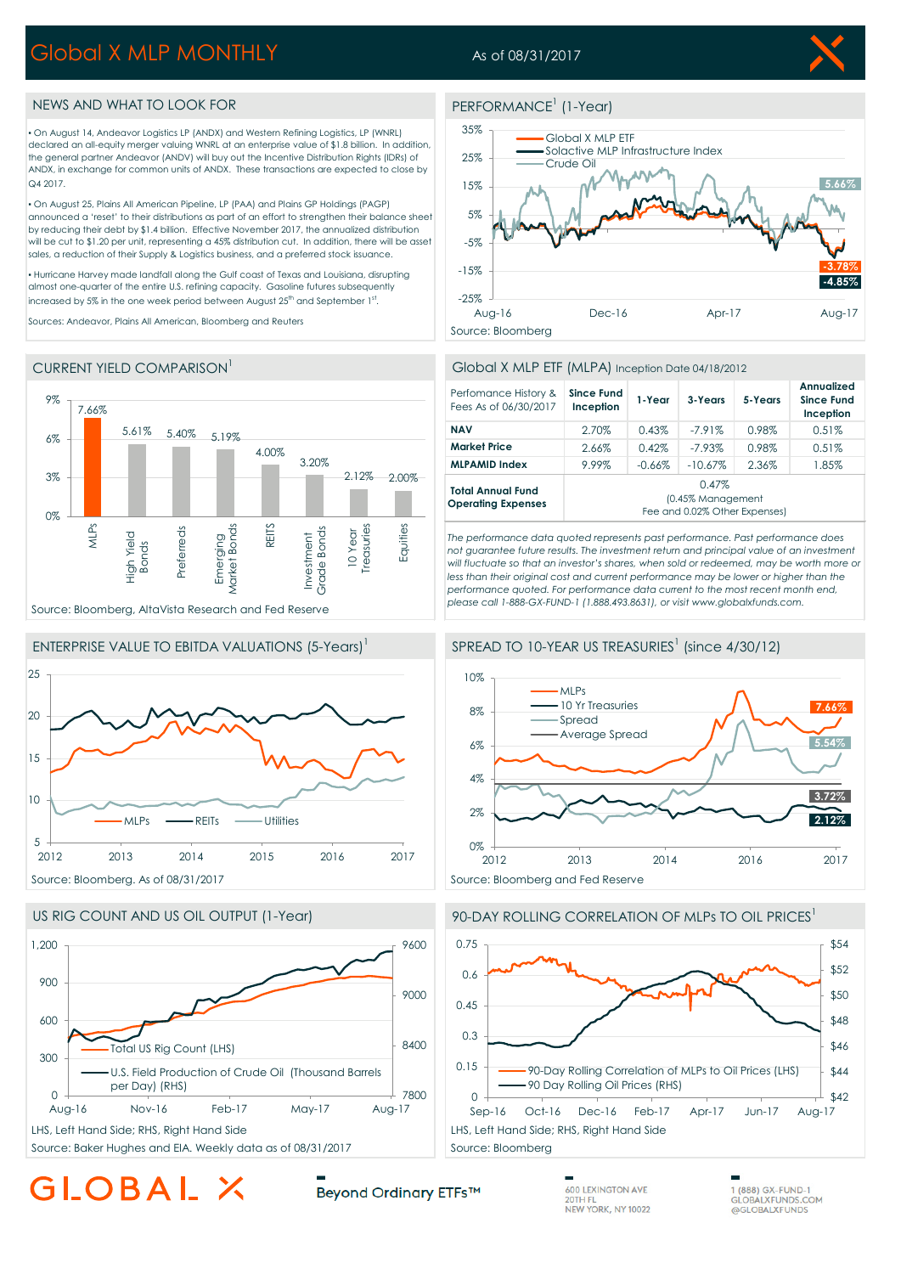## Global X MLP MONTHLY

### As of 08/31/2017

PERFORMANCE<sup>1</sup> (1-Year)



#### NEWS AND WHAT TO LOOK FOR

▪ On August 14, Andeavor Logistics LP (ANDX) and Western Refining Logistics, LP (WNRL) declared an all-equity merger valuing WNRL at an enterprise value of \$1.8 billion. In addition, the general partner Andeavor (ANDV) will buy out the Incentive Distribution Rights (IDRs) of ANDX, in exchange for common units of ANDX. These transactions are expected to close by Q4 2017

▪ On August 25, Plains All American Pipeline, LP (PAA) and Plains GP Holdings (PAGP) announced a 'reset' to their distributions as part of an effort to strengthen their balance sheet by reducing their debt by \$1.4 billion. Effective November 2017, the annualized distribution will be cut to \$1.20 per unit, representing a 45% distribution cut. In addition, there will be asset sales, a reduction of their Supply & Logistics business, and a preferred stock issuance.

▪ Hurricane Harvey made landfall along the Gulf coast of Texas and Louisiana, disrupting almost one-quarter of the entire U.S. refining capacity. Gasoline futures subsequently increased by 5% in the one week period between August 25 $^{\text{th}}$  and September 1 $^{\text{st}}$ .

Sources: Andeavor, Plains All American, Bloomberg and Reuters



#### CURRENT YIELD COMPARISON<sup>1</sup>





Global X MLP ETF

35%



#### Global X MLP ETF (MLPA) Inception Date 04/18/2012

| Perfomance History &<br>Fees As of 06/30/2017         | <b>Since Fund</b><br>Inception                              | 1-Year   | 3-Years    | 5-Years | Annualized<br><b>Since Fund</b><br>Inception |
|-------------------------------------------------------|-------------------------------------------------------------|----------|------------|---------|----------------------------------------------|
| <b>NAV</b>                                            | 2.70%                                                       | 0.43%    | $-7.91\%$  | 0.98%   | 0.51%                                        |
| <b>Market Price</b>                                   | 2.66%                                                       | 0.42%    | $-7.93%$   | 0.98%   | 0.51%                                        |
| <b>MLPAMID Index</b>                                  | 9.99%                                                       | $-0.66%$ | $-10.67\%$ | 2.36%   | 1.85%                                        |
| <b>Total Annual Fund</b><br><b>Operating Expenses</b> | 0.47%<br>(0.45% Management<br>Fee and 0.02% Other Expenses) |          |            |         |                                              |

*The performance data quoted represents past performance. Past performance does not guarantee future results. The investment return and principal value of an investment will fluctuate so that an investor's shares, when sold or redeemed, may be worth more or*  less than their original cost and current performance may be lower or higher than the *performance quoted. For performance data current to the most recent month end, please call 1-888-GX-FUND-1 (1.888.493.8631), or visit www.globalxfunds.com.*









# GLOBAL X

Beyond Ordinary ETFs™

**600 LEXINGTON AVE** 20TH FL<br>NEW YORK, NY 10022

1 (888) GX-FUND-1 **GLOBALXFUNDS.COM** @GLOBALXFUNDS